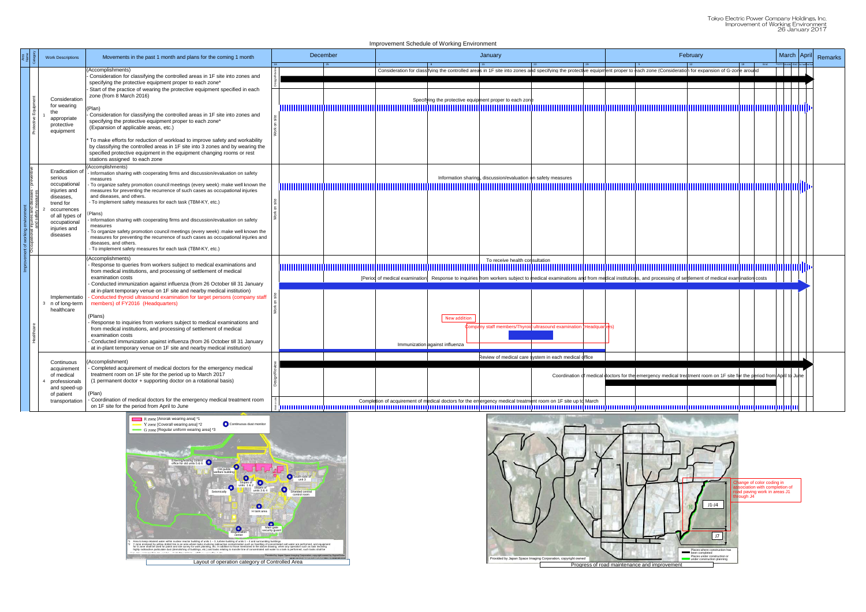|  | <b>Work Descriptions</b>                                                                   | Movements in the past 1 month and plans for the coming 1 month                                                                                                                                                                                                                                                                                                                                                                                         | December |  | January                                                 |                                                                                                                                                                                                                               | February |                                                                                                                       |  |  | March April<br>Remarks |
|--|--------------------------------------------------------------------------------------------|--------------------------------------------------------------------------------------------------------------------------------------------------------------------------------------------------------------------------------------------------------------------------------------------------------------------------------------------------------------------------------------------------------------------------------------------------------|----------|--|---------------------------------------------------------|-------------------------------------------------------------------------------------------------------------------------------------------------------------------------------------------------------------------------------|----------|-----------------------------------------------------------------------------------------------------------------------|--|--|------------------------|
|  |                                                                                            | (Accomplishments)<br>Consideration for classifying the controlled areas in 1F site into zones and                                                                                                                                                                                                                                                                                                                                                      |          |  |                                                         | Consideration for classifying the controlled areas in 1F site into zones and specifying the protective equipment proper to each zone (Consideration for expansion of G-zone around                                            |          |                                                                                                                       |  |  |                        |
|  | Consideration<br>for wearing<br>the<br>appropriate<br>protective<br>equipment              | specifying the protective equipment proper to each zone*<br>Start of the practice of wearing the protective equipment specified in each<br>zone (from 8 March 2016)<br>(Plan)<br>Consideration for classifying the controlled areas in 1F site into zones and<br>specifying the protective equipment proper to each zone*<br>(Expansion of applicable areas, etc.)                                                                                     |          |  | Specifying the protective equipment proper to each zone |                                                                                                                                                                                                                               |          |                                                                                                                       |  |  |                        |
|  |                                                                                            | To make efforts for reduction of workload to improve safety and workability<br>by classifying the controlled areas in 1F site into 3 zones and by wearing the<br>specified protective equipment in the equipment changing rooms or rest<br>stations assigned to each zone                                                                                                                                                                              |          |  |                                                         |                                                                                                                                                                                                                               |          |                                                                                                                       |  |  |                        |
|  | Eradicatiion c<br>serious<br>occupational<br>injuries and<br>diseases,                     | (Accomplishments)<br>- Information sharing with cooperating firms and discussion/evaluation on safety<br>measures<br>- To organize safety promotion council meetings (every week): make well known the<br>measures for preventing the recurrence of such cases as occupational injuries<br>and diseases, and others.<br>- To implement safety measures for each task (TBM-KY, etc.)                                                                    |          |  |                                                         | Information sharing, discussion/evaluation on safety measures                                                                                                                                                                 |          |                                                                                                                       |  |  |                        |
|  | trend for<br>occurrences<br>of all types of<br>occupational<br>injuries and<br>diseases    | Plans)<br>Information sharing with cooperating firms and discussion/evaluation on safety<br>measures<br>To organize safety promotion council meetings (every week): make well known the<br>measures for preventing the recurrence of such cases as occupational injuries and<br>diseases, and others<br>- To implement safety measures for each task (TBM-KY, etc.)                                                                                    |          |  |                                                         |                                                                                                                                                                                                                               |          |                                                                                                                       |  |  |                        |
|  |                                                                                            | (Accomplishments)<br>Response to queries from workers subject to medical examinations and<br>from medical institutions, and processing of settlement of medical<br>examination costs<br>Conducted immunization against influenza (from 26 October till 31 January                                                                                                                                                                                      |          |  |                                                         | To receive health consultation<br>[Period of medical examination] Response to inquiries from workers subject to medical examinations and from medical institutions, and processing of settlement of medical examination costs |          |                                                                                                                       |  |  |                        |
|  | Implementati<br>n of long-term<br>healthcare                                               | at in-plant temporary venue on 1F site and nearby medical institution)<br>Conducted thyroid ultrasound examination for target persons (company staff<br>members) of FY2016 (Headquarters)<br>(Plans)<br>Response to inquiries from workers subject to medical examinations and<br>from medical institutions, and processing of settlement of medical<br>examination costs<br>Conducted immunization against influenza (from 26 October till 31 January |          |  | New addition                                            | Company staff members/Thyroid ultrasound examination (Headquarters)                                                                                                                                                           |          |                                                                                                                       |  |  |                        |
|  | Continuous                                                                                 | at in-plant temporary venue on 1F site and nearby medical institution)<br>(Accomplishment)<br>- Completed acquirement of medical doctors for the emergency medical<br>treatment room on 1F site for the period up to March 2017<br>(1 permanent doctor + supporting doctor on a rotational basis)<br>(Plan)<br>- Coordination of medical doctors for the emergency medical treatment room                                                              |          |  | Immunization against influenza                          | Review of medical care system in each medical office                                                                                                                                                                          |          |                                                                                                                       |  |  |                        |
|  | acquirement<br>of medical<br>professionals<br>and speed-up<br>of patient<br>transportation |                                                                                                                                                                                                                                                                                                                                                                                                                                                        |          |  |                                                         | Completion of acquirement of medical doctors for the emergency medical treatment room on 1F site up to March                                                                                                                  |          | Coordination of medical doctors for the emergency medical treatment room on 1F site for the period from April to June |  |  |                        |
|  |                                                                                            | on 1F site for the period from April to June<br>R zone [Anorak wearing area] *1<br>Continuous dust monitor<br>Y zone [Coverall wearing area] *2<br>G zone [Reqular uniform wearing area] *3                                                                                                                                                                                                                                                            |          |  |                                                         | ៖ [អោយបានបញ្ជាប់បានបញ្ជាប់បានបញ្ជាប់បានបញ្ជាប់បានបញ្ជាប់បានបញ្ជាប់បានបញ្ជាប់បានបញ្ជាប់បានបញ្ជាប់បានបញ្ជាប់បានបញ្ជាប់បានបញ្ជាប់បានបញ្ជាប់បានបញ្ជាប់បា<br>$\pi$ . $\Box$                                                        |          |                                                                                                                       |  |  |                        |

Improvement Schedule of Working Environment



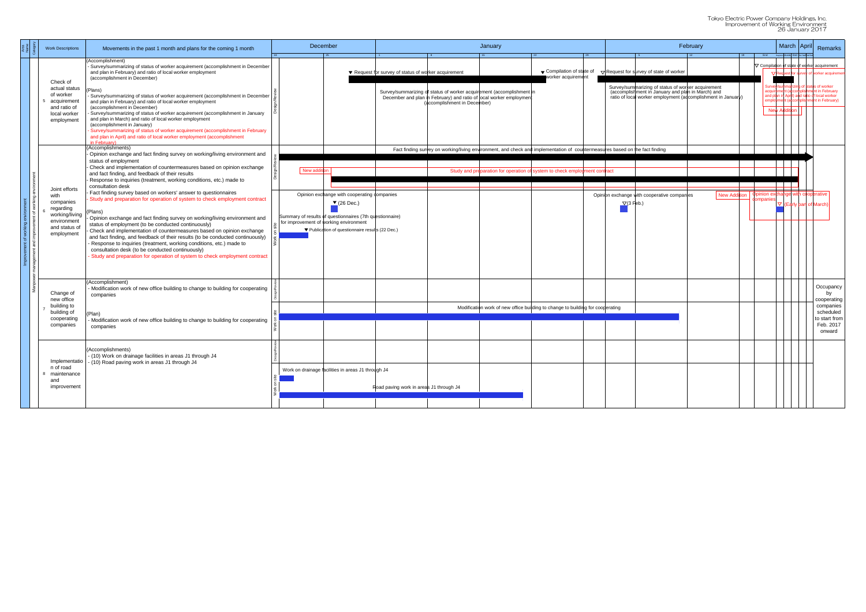Tokyo Electric Power Company Holdings, Inc. Improvement of Working Environment 26 January 2017

|                                                        |    |                   |                                                                                                         | February                                                     |    |           |  | <b>March</b> |                                    | April | <b>Remarks</b>                                                                                                                    |
|--------------------------------------------------------|----|-------------------|---------------------------------------------------------------------------------------------------------|--------------------------------------------------------------|----|-----------|--|--------------|------------------------------------|-------|-----------------------------------------------------------------------------------------------------------------------------------|
|                                                        | 29 |                   | 5 <sup>5</sup>                                                                                          | 12                                                           | 19 | End       |  |              | Beginnin Middle End 1st hat 2nd ha |       |                                                                                                                                   |
|                                                        |    |                   |                                                                                                         |                                                              |    |           |  |              |                                    |       | $\nabla$ Compilation of state of worker acquirement                                                                               |
| Compilation of state of<br>worker acquirement          |    |                   | $\nabla$ Request for survey of state of worker                                                          |                                                              |    |           |  |              |                                    |       | ▽ Request for survey of worker acquiremen                                                                                         |
|                                                        |    |                   | Survey/summarizing of status of worker acquirement<br>(accomplishment in January and plan in March) and | ratio of local worker employment (adcomplishment in January) |    |           |  |              |                                    |       | Survey/summarizing of status of worker<br>acquirement (accomplishment in February<br>and plan in April) and ratio of local worker |
|                                                        |    |                   |                                                                                                         |                                                              |    |           |  |              | <b>New Addition</b>                |       | employment (accomplishment in February)                                                                                           |
|                                                        |    |                   |                                                                                                         |                                                              |    |           |  |              |                                    |       |                                                                                                                                   |
|                                                        |    |                   |                                                                                                         |                                                              |    |           |  |              |                                    |       |                                                                                                                                   |
|                                                        |    |                   |                                                                                                         |                                                              |    |           |  |              |                                    |       |                                                                                                                                   |
| mentation of countermeasures based on the fact finding |    |                   |                                                                                                         |                                                              |    |           |  |              |                                    |       |                                                                                                                                   |
|                                                        |    |                   |                                                                                                         |                                                              |    |           |  |              |                                    |       |                                                                                                                                   |
| n to check employment contract                         |    |                   |                                                                                                         |                                                              |    |           |  |              |                                    |       |                                                                                                                                   |
|                                                        |    |                   |                                                                                                         |                                                              |    |           |  |              |                                    |       | Opinion exchange with cooperative                                                                                                 |
|                                                        |    | $\nabla$ (3 Feb.) | Opinion exchange with cooperative companies                                                             | <b>New Addition</b>                                          |    | companies |  |              |                                    |       | $\nabla$ (Early part of March)                                                                                                    |
|                                                        |    |                   |                                                                                                         |                                                              |    |           |  |              |                                    |       |                                                                                                                                   |
|                                                        |    |                   |                                                                                                         |                                                              |    |           |  |              |                                    |       |                                                                                                                                   |
|                                                        |    |                   |                                                                                                         |                                                              |    |           |  |              |                                    |       |                                                                                                                                   |
|                                                        |    |                   |                                                                                                         |                                                              |    |           |  |              |                                    |       |                                                                                                                                   |
|                                                        |    |                   |                                                                                                         |                                                              |    |           |  |              |                                    |       |                                                                                                                                   |
|                                                        |    |                   |                                                                                                         |                                                              |    |           |  |              |                                    |       |                                                                                                                                   |
|                                                        |    |                   |                                                                                                         |                                                              |    |           |  |              |                                    |       | Occupancy                                                                                                                         |
|                                                        |    |                   |                                                                                                         |                                                              |    |           |  |              |                                    |       | by<br>cooperating                                                                                                                 |
| change to building for cooperating                     |    |                   |                                                                                                         |                                                              |    |           |  |              |                                    |       | companies<br>scheduled                                                                                                            |
|                                                        |    |                   |                                                                                                         |                                                              |    |           |  |              |                                    |       | to start from                                                                                                                     |
|                                                        |    |                   |                                                                                                         |                                                              |    |           |  |              |                                    |       | Feb. 2017<br>onward                                                                                                               |
|                                                        |    |                   |                                                                                                         |                                                              |    |           |  |              |                                    |       |                                                                                                                                   |
|                                                        |    |                   |                                                                                                         |                                                              |    |           |  |              |                                    |       |                                                                                                                                   |
|                                                        |    |                   |                                                                                                         |                                                              |    |           |  |              |                                    |       |                                                                                                                                   |
|                                                        |    |                   |                                                                                                         |                                                              |    |           |  |              |                                    |       |                                                                                                                                   |
|                                                        |    |                   |                                                                                                         |                                                              |    |           |  |              |                                    |       |                                                                                                                                   |
|                                                        |    |                   |                                                                                                         |                                                              |    |           |  |              |                                    |       |                                                                                                                                   |

|  | <b>Work Descriptions</b>                                                                                                                                                                             | Movements in the past 1 month and plans for the coming 1 month                                                                                                                                                                                                                                                                                                                                                                                                                                                                                                                                                                                                                                                                                                                                                                                                                                                                                                                                                                                                                                                                                                                                                                                | December                                                                                                                                                                                                                             | January                                                                                                                                                                                                                              | February                                        |                                                                                                                                                                                                                           | March   April               |                                                                                                                | Remarks                                                                                                                                                   |                                                                                                  |  |  |  |
|--|------------------------------------------------------------------------------------------------------------------------------------------------------------------------------------------------------|-----------------------------------------------------------------------------------------------------------------------------------------------------------------------------------------------------------------------------------------------------------------------------------------------------------------------------------------------------------------------------------------------------------------------------------------------------------------------------------------------------------------------------------------------------------------------------------------------------------------------------------------------------------------------------------------------------------------------------------------------------------------------------------------------------------------------------------------------------------------------------------------------------------------------------------------------------------------------------------------------------------------------------------------------------------------------------------------------------------------------------------------------------------------------------------------------------------------------------------------------|--------------------------------------------------------------------------------------------------------------------------------------------------------------------------------------------------------------------------------------|--------------------------------------------------------------------------------------------------------------------------------------------------------------------------------------------------------------------------------------|-------------------------------------------------|---------------------------------------------------------------------------------------------------------------------------------------------------------------------------------------------------------------------------|-----------------------------|----------------------------------------------------------------------------------------------------------------|-----------------------------------------------------------------------------------------------------------------------------------------------------------|--------------------------------------------------------------------------------------------------|--|--|--|
|  | Check of<br>actual status<br>of worker<br>acquirement<br>and ratio of<br>local worker<br>employment                                                                                                  | Accomplishment)<br>- Survey/summarizing of status of worker acquirement (accomplishment in December<br>and plan in February) and ratio of local worker employment<br>(accomplishment in December)<br>Plans)<br>- Survey/summarizing of status of worker acquirement (accomplishment in December<br>and plan in February) and ratio of local worker employment<br>(accomplishment in December)<br>Survey/summarizing of status of worker acquirement (accomplishment in January<br>and plan in March) and ratio of local worker employment<br>(accomplishment in January)<br>Survey/summarizing of status of worker acquirement (accomplishment in February<br>and plan in April) and ratio of local worker employment (accomplishment<br><b>February</b>                                                                                                                                                                                                                                                                                                                                                                                                                                                                                      |                                                                                                                                                                                                                                      | ▼ Request for survey of status of worker acquirement<br>Survey/summarizing of status of worker acquirement (accomplishment in<br>December and plan in February) and ratio of local worker employment<br>(accomplishment in December) | ▼ Compilation of state of<br>worker acquirement | $\nabla$ Request for survey of state of worker<br>Survey/summarizing of status of worker acquirement<br>(accomplishment in January and plan in March) and<br>ratio of local worker employment (accomplishment in January) | 19 End Beginning            | $\nabla$ Request for $\frac{1}{2}$<br>summarizind<br>and plan in April) an<br>hent (acc<br><b>New Addition</b> | $\triangledown$ Compilation of state of worker acquirement<br>rker acquirem<br>tus of worker<br>shment in February<br>of local worker<br>int in February) |                                                                                                  |  |  |  |
|  | Joint efforts<br>with<br>companies<br>regarding<br>working/living<br>environment<br>and status of<br>employment<br>Change of<br>new office<br>building to<br>building of<br>cooperating<br>companies | (Accomplishments)<br>Opinion exchange and fact finding survey on working/living environment and<br>status of employment<br>Check and implementation of countermeasures based on opinion exchange<br>and fact finding, and feedback of their results<br>Response to inquiries (treatment, working conditions, etc.) made to<br>consultation desk<br>Fact finding survey based on workers' answer to questionnaires<br>Study and preparation for operation of system to check employment contract<br>Plans)<br>Opinion exchange and fact finding survey on working/living environment and<br>status of employment (to be conducted continuously)<br>Check and implementation of countermeasures based on opinion exchange<br>and fact finding, and feedback of their results (to be conducted continuously)<br>Response to inquiries (treatment, working conditions, etc.) made to<br>consultation desk (to be conducted continuously)<br>Study and preparation for operation of system to check employment contract<br>(Accomplishment)<br>Modification work of new office building to change to building for cooperating<br>companies<br>Plan)<br>Modification work of new office building to change to building for cooperating<br>companies | New addition<br>Opinion exchange with cooperating companies<br>$(26$ Dec.)<br>Summary of results of questionnaires (7th questionnaire)<br>for improvement of working environment<br>▼ Publication of questionnaire results (22 Dec.) | Fact finding survey on working/living environment, and check and implementation of countermeasures based on the fact finding<br>Study and preparation for operation of system to check employment contract                           |                                                 | Opinion exchange with cooperative companies<br>$\nabla$ (3 Feb.)                                                                                                                                                          | New Addition   Opinion excl | nange with cooperative<br>$\nabla$ (Early part of March)                                                       |                                                                                                                                                           |                                                                                                  |  |  |  |
|  |                                                                                                                                                                                                      |                                                                                                                                                                                                                                                                                                                                                                                                                                                                                                                                                                                                                                                                                                                                                                                                                                                                                                                                                                                                                                                                                                                                                                                                                                               |                                                                                                                                                                                                                                      | Modification work of new office building to change to building for cooperating                                                                                                                                                       |                                                 |                                                                                                                                                                                                                           |                             |                                                                                                                |                                                                                                                                                           | Occupancy<br>by<br>cooperating<br>companies<br>scheduled<br>to start fror<br>Feb. 2017<br>onward |  |  |  |
|  | Implementatio<br>n of road<br>8 maintenance<br>and<br>improvement                                                                                                                                    | (Accomplishments)<br>(10) Work on drainage facilities in areas J1 through J4<br>(10) Road paving work in areas J1 through J4                                                                                                                                                                                                                                                                                                                                                                                                                                                                                                                                                                                                                                                                                                                                                                                                                                                                                                                                                                                                                                                                                                                  | Work on drainage facilities in areas J1 through J4                                                                                                                                                                                   | Road paving work in areas J1 through J4                                                                                                                                                                                              |                                                 |                                                                                                                                                                                                                           |                             |                                                                                                                |                                                                                                                                                           |                                                                                                  |  |  |  |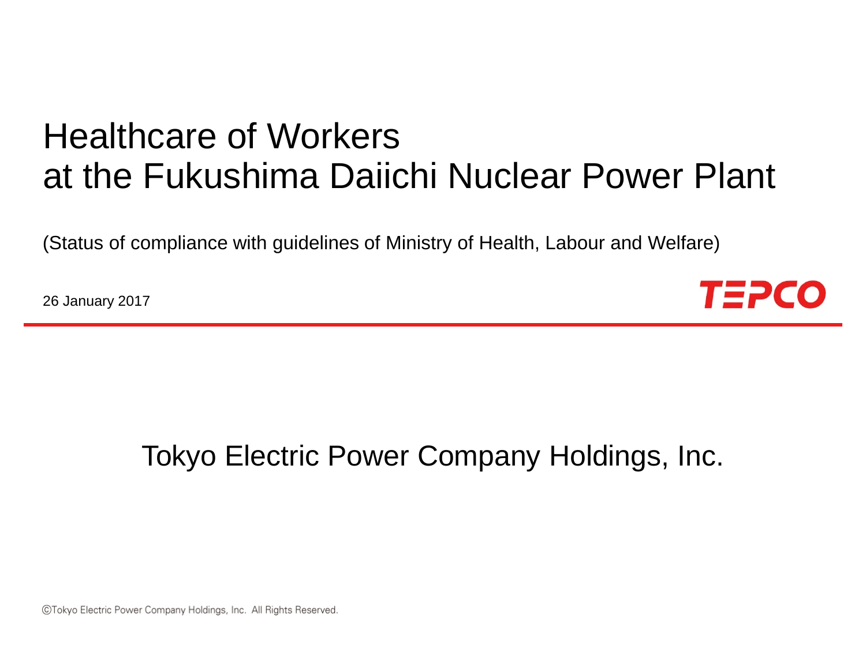# Healthcare of Workers at the Fukushima Daiichi Nuclear Power Plant

(Status of compliance with guidelines of Ministry of Health, Labour and Welfare)

26 January 2017



# Tokyo Electric Power Company Holdings, Inc.

©Tokyo Electric Power Company Holdings, Inc. All Rights Reserved.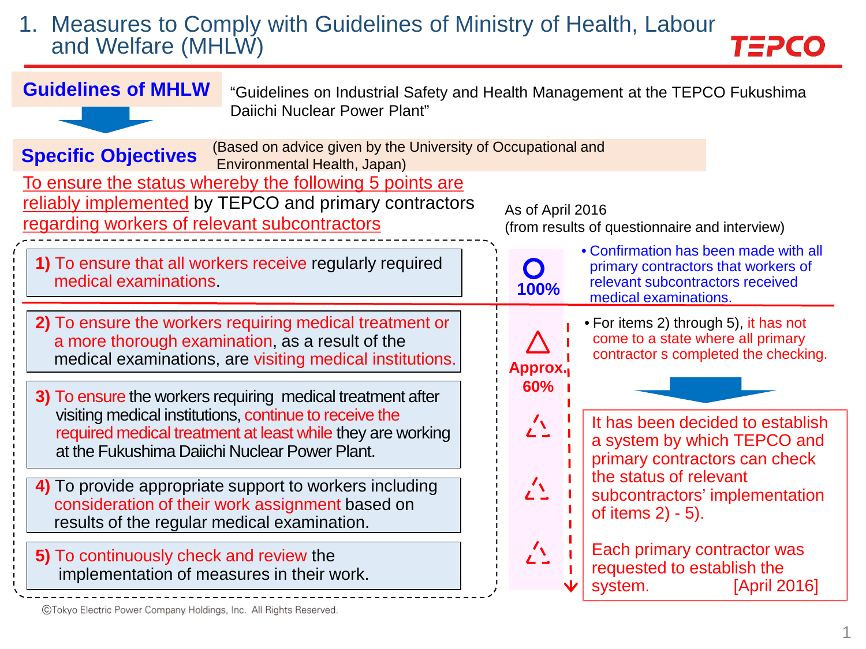### 1. Measures to Comply with Guidelines of Ministry of Health, Labour and Welfare (MHLW)

TEPCO



©Tokyo Electric Power Company Holdings, Inc. All Rights Reserved.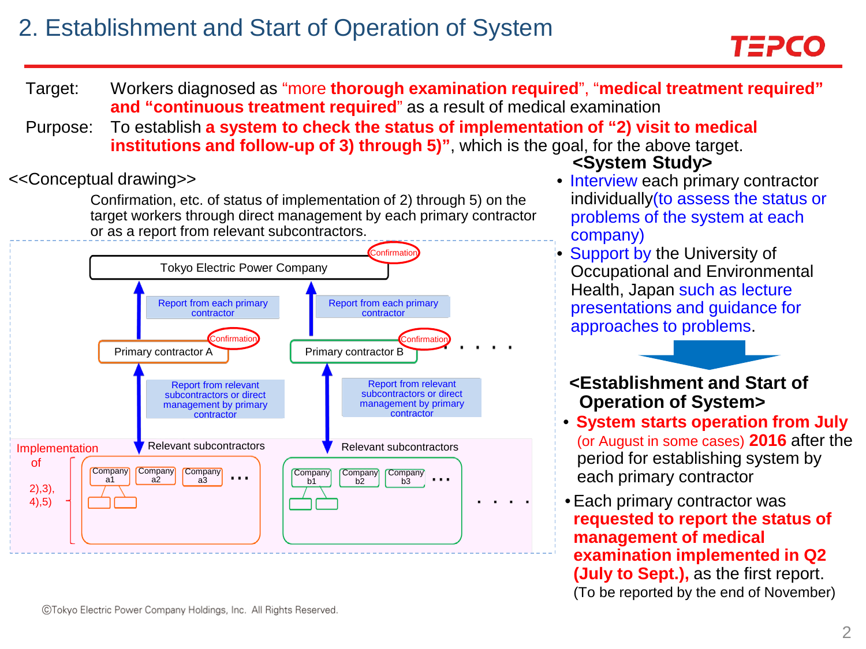# 2. Establishment and Start of Operation of System

- Target: Workers diagnosed as "more **thorough examination required**", "**medical treatment required" and "continuous treatment required**" as a result of medical examination
- Purpose: To establish **a system to check the status of implementation of "2) visit to medical institutions and follow-up of 3) through 5)",** which is the goal, for the above target.

Confirmation, etc. of status of implementation of 2) through 5) on the target workers through direct management by each primary contractor or as a report from relevant subcontractors.



### **<System Study>**

- <<Conceptual drawing>> Interview each primary contractor individually(to assess the status or problems of the system at each company)
	- Support by the University of Occupational and Environmental Health, Japan such as lecture presentations and guidance for approaches to problems.

**<Establishment and Start of Operation of System>**

- **System starts operation from July** (or August in some cases) **2016** after the period for establishing system by each primary contractor
- •Each primary contractor was **requested to report the status of management of medical examination implemented in Q2 (July to Sept.),** as the first report. (To be reported by the end of November)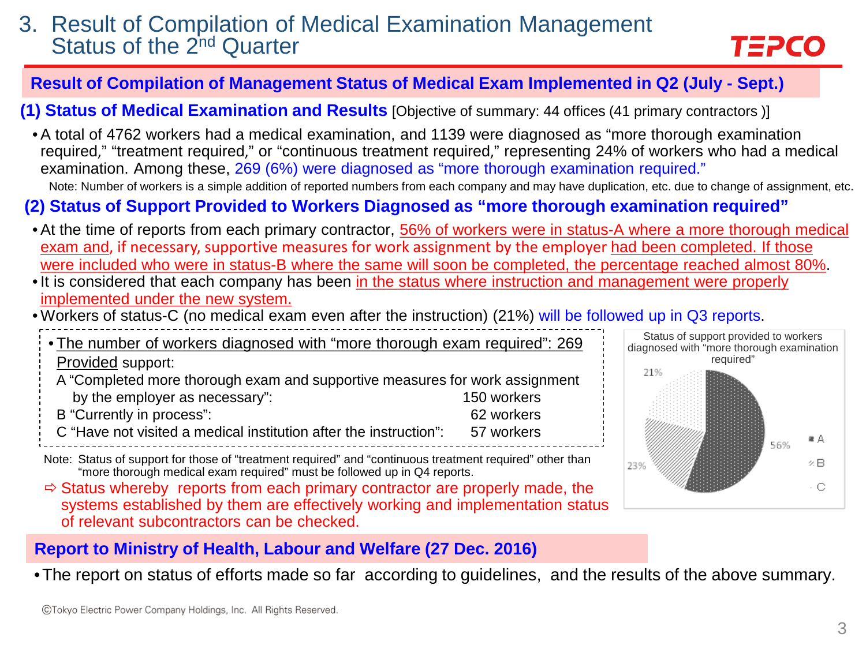### 3. Result of Compilation of Medical Examination Management Status of the 2<sup>nd</sup> Quarter

# TEPCO

### **Result of Compilation of Management Status of Medical Exam Implemented in Q2 (July - Sept.)**

**(1) Status of Medical Examination and Results** [Objective of summary: 44 offices (41 primary contractors )]

• A total of 4762 workers had a medical examination, and 1139 were diagnosed as "more thorough examination required," "treatment required," or "continuous treatment required," representing 24% of workers who had a medical examination. Among these, 269 (6%) were diagnosed as "more thorough examination required." Note: Number of workers is a simple addition of reported numbers from each company and may have duplication, etc. due to change of assignment, etc.

### **(2) Status of Support Provided to Workers Diagnosed as "more thorough examination required"**

- At the time of reports from each primary contractor, 56% of workers were in status-A where a more thorough medical exam and, if necessary, supportive measures for work assignment by the employer had been completed. If those were included who were in status-B where the same will soon be completed, the percentage reached almost 80%.
- It is considered that each company has been in the status where instruction and management were properly implemented under the new system.
- Workers of status-C (no medical exam even after the instruction) (21%) will be followed up in Q3 reports.
- The number of workers diagnosed with "more thorough exam required": 269 Provided support: A "Completed more thorough exam and supportive measures for work assignment by the employer as necessary": 150 workers B "Currently in process": 62 workers C "Have not visited a medical institution after the instruction": 57 workers
- Note: Status of support for those of "treatment required" and "continuous treatment required" other than "more thorough medical exam required" must be followed up in Q4 reports.
- $\Rightarrow$  Status whereby reports from each primary contractor are properly made, the systems established by them are effectively working and implementation status of relevant subcontractors can be checked.



### **Report to Ministry of Health, Labour and Welfare (27 Dec. 2016)**

•The report on status of efforts made so far according to guidelines, and the results of the above summary.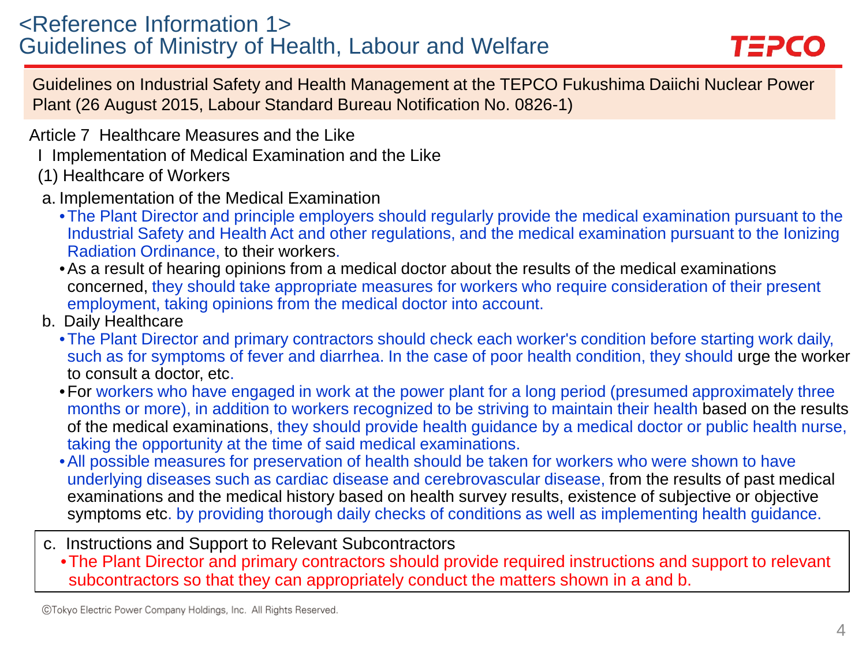### <Reference Information 1> Guidelines of Ministry of Health, Labour and Welfare



Guidelines on Industrial Safety and Health Management at the TEPCO Fukushima Daiichi Nuclear Power Plant (26 August 2015, Labour Standard Bureau Notification No. 0826-1)

Article 7 Healthcare Measures and the Like

- I Implementation of Medical Examination and the Like
- (1) Healthcare of Workers
- a. Implementation of the Medical Examination
	- •The Plant Director and principle employers should regularly provide the medical examination pursuant to the Industrial Safety and Health Act and other regulations, and the medical examination pursuant to the Ionizing Radiation Ordinance, to their workers.
	- •As a result of hearing opinions from a medical doctor about the results of the medical examinations concerned, they should take appropriate measures for workers who require consideration of their present employment, taking opinions from the medical doctor into account.
- b. Daily Healthcare
	- •The Plant Director and primary contractors should check each worker's condition before starting work daily, such as for symptoms of fever and diarrhea. In the case of poor health condition, they should urge the worker to consult a doctor, etc.
	- •For workers who have engaged in work at the power plant for a long period (presumed approximately three months or more), in addition to workers recognized to be striving to maintain their health based on the results of the medical examinations, they should provide health guidance by a medical doctor or public health nurse, taking the opportunity at the time of said medical examinations.
	- •All possible measures for preservation of health should be taken for workers who were shown to have underlying diseases such as cardiac disease and cerebrovascular disease, from the results of past medical examinations and the medical history based on health survey results, existence of subjective or objective symptoms etc. by providing thorough daily checks of conditions as well as implementing health guidance.
- c. Instructions and Support to Relevant Subcontractors
	- •The Plant Director and primary contractors should provide required instructions and support to relevant subcontractors so that they can appropriately conduct the matters shown in a and b.